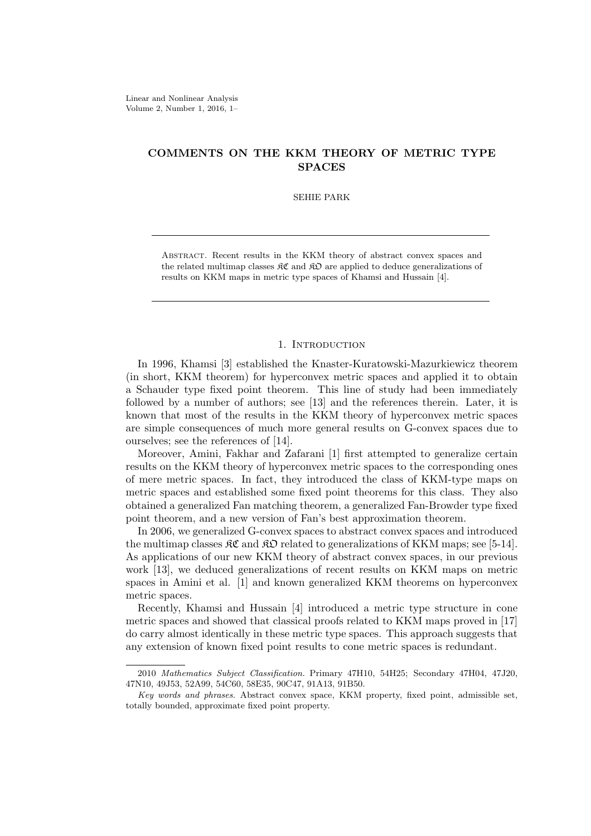# **COMMENTS ON THE KKM THEORY OF METRIC TYPE SPACES**

#### SEHIE PARK

Abstract. Recent results in the KKM theory of abstract convex spaces and the related multimap classes  $\mathcal{RC}$  and  $\mathcal{RD}$  are applied to deduce generalizations of results on KKM maps in metric type spaces of Khamsi and Hussain [4].

## 1. INTRODUCTION

In 1996, Khamsi [3] established the Knaster-Kuratowski-Mazurkiewicz theorem (in short, KKM theorem) for hyperconvex metric spaces and applied it to obtain a Schauder type fixed point theorem. This line of study had been immediately followed by a number of authors; see [13] and the references therein. Later, it is known that most of the results in the KKM theory of hyperconvex metric spaces are simple consequences of much more general results on G-convex spaces due to ourselves; see the references of [14].

Moreover, Amini, Fakhar and Zafarani [1] first attempted to generalize certain results on the KKM theory of hyperconvex metric spaces to the corresponding ones of mere metric spaces. In fact, they introduced the class of KKM-type maps on metric spaces and established some fixed point theorems for this class. They also obtained a generalized Fan matching theorem, a generalized Fan-Browder type fixed point theorem, and a new version of Fan's best approximation theorem.

In 2006, we generalized G-convex spaces to abstract convex spaces and introduced the multimap classes  $\mathcal{RC}$  and  $\mathcal{RD}$  related to generalizations of KKM maps; see [5-14]. As applications of our new KKM theory of abstract convex spaces, in our previous work [13], we deduced generalizations of recent results on KKM maps on metric spaces in Amini et al. [1] and known generalized KKM theorems on hyperconvex metric spaces.

Recently, Khamsi and Hussain [4] introduced a metric type structure in cone metric spaces and showed that classical proofs related to KKM maps proved in [17] do carry almost identically in these metric type spaces. This approach suggests that any extension of known fixed point results to cone metric spaces is redundant.

<sup>2010</sup> *Mathematics Subject Classification.* Primary 47H10, 54H25; Secondary 47H04, 47J20, 47N10, 49J53, 52A99, 54C60, 58E35, 90C47, 91A13, 91B50.

*Key words and phrases.* Abstract convex space, KKM property, fixed point, admissible set, totally bounded, approximate fixed point property.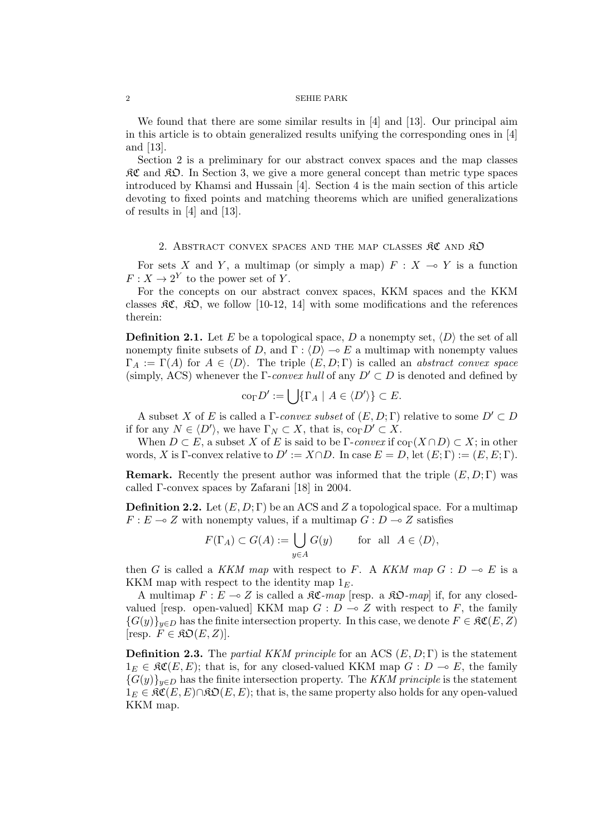### 2 SEHIE PARK

We found that there are some similar results in  $[4]$  and  $[13]$ . Our principal aim in this article is to obtain generalized results unifying the corresponding ones in [4] and [13].

Section 2 is a preliminary for our abstract convex spaces and the map classes  $\mathcal{RC}$  and  $\mathcal{RD}$ . In Section 3, we give a more general concept than metric type spaces introduced by Khamsi and Hussain [4]. Section 4 is the main section of this article devoting to fixed points and matching theorems which are unified generalizations of results in [4] and [13].

## 2. ABSTRACT CONVEX SPACES AND THE MAP CLASSES RC AND RO

For sets *X* and *Y*, a multimap (or simply a map)  $F : X \to Y$  is a function  $F: X \to 2^Y$  to the power set of *Y*.

For the concepts on our abstract convex spaces, KKM spaces and the KKM classes  $\mathfrak{K}C$ ,  $\mathfrak{K}D$ , we follow [10-12, 14] with some modifications and the references therein:

**Definition 2.1.** Let *E* be a topological space, *D* a nonempty set,  $\langle D \rangle$  the set of all nonempty finite subsets of *D*, and  $\Gamma$  :  $\langle D \rangle \rightarrow E$  a multimap with nonempty values  $\Gamma_A := \Gamma(A)$  for  $A \in \langle D \rangle$ . The triple  $(E, D; \Gamma)$  is called an *abstract convex space* (simply, ACS) whenever the  $\Gamma$ -*convex hull* of any  $D' \subset D$  is denoted and defined by

$$
\mathrm{co}_{\Gamma} D' := \bigcup \{ \Gamma_A \mid A \in \langle D' \rangle \} \subset E.
$$

A subset *X* of *E* is called a  $\Gamma$ -*convex subset* of  $(E, D; \Gamma)$  relative to some  $D' \subset D$ if for any  $N \in \langle D' \rangle$ , we have  $\Gamma_N \subset X$ , that is,  $\text{co}_{\Gamma} D' \subset X$ .

When  $D \subset E$ , a subset X of E is said to be  $\Gamma$ -*convex* if  $\text{co}_{\Gamma}(X \cap D) \subset X$ ; in other words, *X* is  $\Gamma$ -convex relative to  $D' := X \cap D$ . In case  $E = D$ , let  $(E; \Gamma) := (E, E; \Gamma)$ .

**Remark.** Recently the present author was informed that the triple  $(E, D; \Gamma)$  was called Γ-convex spaces by Zafarani [18] in 2004.

**Definition 2.2.** Let  $(E, D; \Gamma)$  be an ACS and Z a topological space. For a multimap  $F: E \to Z$  with nonempty values, if a multimap  $G: D \to Z$  satisfies

$$
F(\Gamma_A) \subset G(A) := \bigcup_{y \in A} G(y) \quad \text{for all } A \in \langle D \rangle,
$$

then *G* is called a *KKM map* with respect to *F*. A *KKM map*  $G : D \multimap E$  is a KKM map with respect to the identity map 1*E*.

A multimap  $F: E \to Z$  is called a  $\Re\mathfrak{C}$ -map [resp. a  $\Re\mathfrak{O}$ -map] if, for any closedvalued [resp. open-valued] KKM map  $G: D \to Z$  with respect to  $F$ , the family  ${G(y)}_{y\in D}$  has the finite intersection property. In this case, we denote  $F \in \mathcal{RC}(E, Z)$  $[resp. \ \overline{F} \in \mathfrak{KO}(E,Z)].$ 

**Definition 2.3.** The *partial KKM principle* for an ACS (*E, D*; Γ) is the statement  $1<sub>E</sub> ∈ R\mathfrak{C}(E, E)$ ; that is, for any closed-valued KKM map *G* : *D* → *E*, the family  ${G(y)}_{y \in D}$  has the finite intersection property. The *KKM principle* is the statement  $1<sub>E</sub> ∈ R\mathfrak{C}(E, E) ∩ R\mathfrak{O}(E, E);$  that is, the same property also holds for any open-valued KKM map.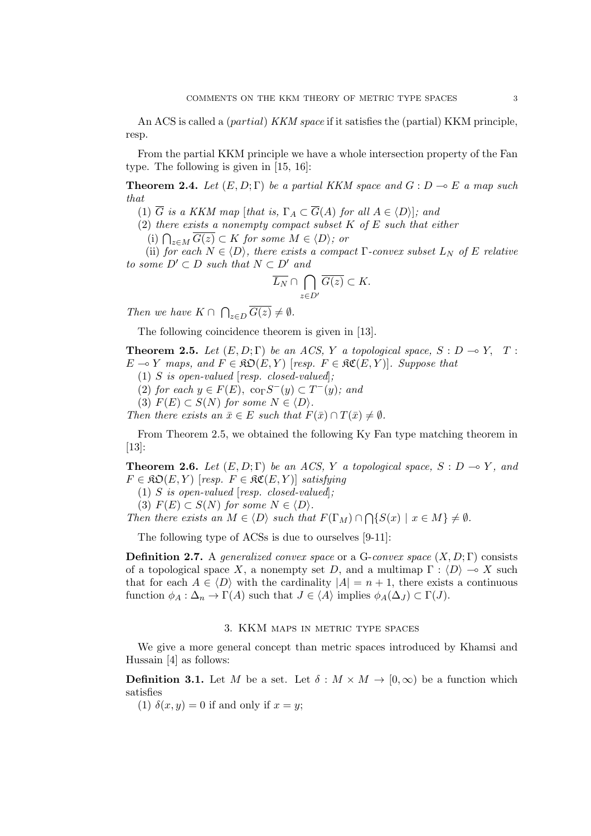An ACS is called a (*partial*) *KKM space* if it satisfies the (partial) KKM principle, resp.

From the partial KKM principle we have a whole intersection property of the Fan type. The following is given in [15, 16]:

**Theorem 2.4.** Let  $(E, D; \Gamma)$  be a partial KKM space and  $G: D \to E$  a map such *that*

(1)  $\overline{G}$  *is a KKM map* [*that is,*  $\Gamma_A \subset \overline{G}(A)$  *for all*  $A \in \langle D \rangle$ ]*; and* 

(2) *there exists a nonempty compact subset K of E such that either*

(i)  $\bigcap_{z \in M} \overline{G(z)} \subset K$  *for some*  $M \in \langle D \rangle$ *; or* 

(ii) *for each*  $N \in \langle D \rangle$ *, there exists a compact*  $\Gamma$ *-convex subset*  $L_N$  *of*  $E$  *relative to some*  $D' ⊂ D$  *such that*  $N ⊂ D'$  *and* 

$$
\overline{L_N} \cap \bigcap_{z \in D'} \overline{G(z)} \subset K.
$$

*Then we have*  $K \cap \bigcap_{z \in D} \overline{G(z)} \neq \emptyset$ *.* 

The following coincidence theorem is given in [13].

**Theorem 2.5.** Let  $(E, D; \Gamma)$  be an ACS, Y a topological space,  $S: D \to Y$ , T: *E* → *Y maps, and*  $F \in \mathfrak{RO}(E, Y)$  [*resp.*  $F \in \mathfrak{RC}(E, Y)$ ]*. Suppose that* 

(1) *S is open-valued* [*resp. closed-valued*]*;*

 $(2)$  *for each*  $y \in F(E)$ ,  $\operatorname{co}_{\Gamma} S^{-}(y) \subset T^{-}(y)$ *; and* 

 $(S)$   $F(E) \subset S(N)$  *for some*  $N \in \langle D \rangle$ *.* 

*Then there exists an*  $\bar{x} \in E$  *such that*  $F(\bar{x}) \cap T(\bar{x}) \neq \emptyset$ *.* 

From Theorem 2.5, we obtained the following Ky Fan type matching theorem in  $|13|$ :

**Theorem 2.6.** *Let*  $(E, D; \Gamma)$  *be an ACS,*  $Y$  *a topological space,*  $S: D \to Y$ *, and*  $F \in \mathfrak{RO}(E, Y)$  [*resp.*  $F \in \mathfrak{RC}(E, Y)$ ] *satisfying* 

(1) *S is open-valued* [*resp. closed-valued*]*;*

(3)  $F(E) \subset S(N)$  *for some*  $N \in \langle D \rangle$ *.* 

*Then there exists an*  $M \in \langle D \rangle$  *such that*  $F(\Gamma_M) \cap \bigcap \{S(x) \mid x \in M\} \neq \emptyset$ .

The following type of ACSs is due to ourselves [9-11]:

**Definition 2.7.** A *generalized convex space* or a G-*convex space* (*X, D*; Γ) consists of a topological space *X*, a nonempty set *D*, and a multimap  $\Gamma : \langle D \rangle \to X$  such that for each  $A \in \langle D \rangle$  with the cardinality  $|A| = n + 1$ , there exists a continuous function  $\phi_A : \Delta_n \to \Gamma(A)$  such that  $J \in \langle A \rangle$  implies  $\phi_A(\Delta_J) \subset \Gamma(J)$ .

## 3. KKM maps in metric type spaces

We give a more general concept than metric spaces introduced by Khamsi and Hussain [4] as follows:

**Definition 3.1.** Let *M* be a set. Let  $\delta : M \times M \to [0, \infty)$  be a function which satisfies

(1)  $\delta(x, y) = 0$  if and only if  $x = y$ ;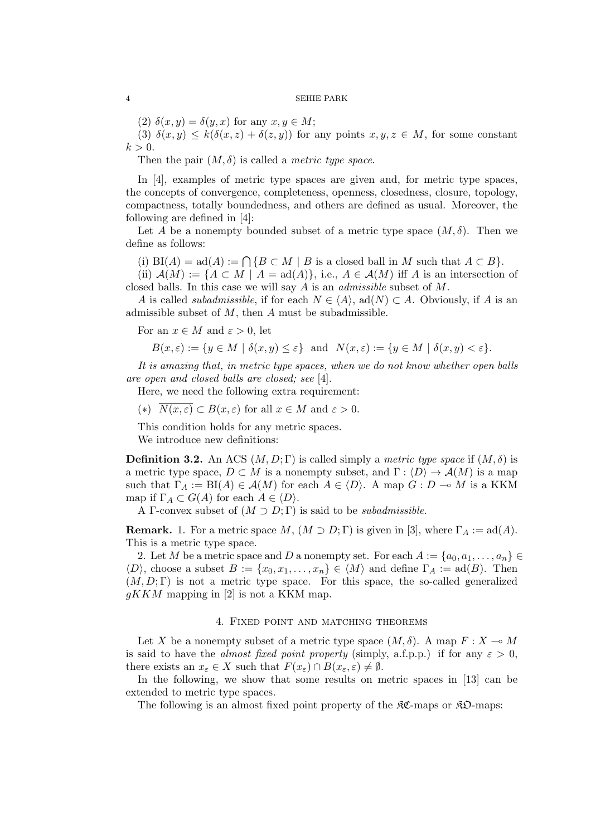#### 4 SEHIE PARK

 $(2)$   $\delta(x, y) = \delta(y, x)$  for any  $x, y \in M$ ;

(3)  $\delta(x, y) \leq k(\delta(x, z) + \delta(z, y))$  for any points  $x, y, z \in M$ , for some constant  $k > 0$ .

Then the pair  $(M, \delta)$  is called a *metric type space*.

In [4], examples of metric type spaces are given and, for metric type spaces, the concepts of convergence, completeness, openness, closedness, closure, topology, compactness, totally boundedness, and others are defined as usual. Moreover, the following are defined in [4]:

Let *A* be a nonempty bounded subset of a metric type space  $(M, \delta)$ . Then we define as follows:

(i)  $BI(A) = ad(A) := \bigcap \{ B \subset M \mid B \text{ is a closed ball in } M \text{ such that } A \subset B \}.$ 

(ii)  $\mathcal{A}(M) := \{A \subset M \mid A = \text{ad}(A)\}\$ , i.e.,  $A \in \mathcal{A}(M)$  iff *A* is an intersection of closed balls. In this case we will say *A* is an *admissible* subset of *M*.

*A* is called *subadmissible*, if for each  $N \in \langle A \rangle$ , ad $(N) \subset A$ . Obviously, if *A* is an admissible subset of *M*, then *A* must be subadmissible.

For an  $x \in M$  and  $\varepsilon > 0$ , let

$$
B(x,\varepsilon) := \{ y \in M \mid \delta(x,y) \le \varepsilon \} \text{ and } N(x,\varepsilon) := \{ y \in M \mid \delta(x,y) < \varepsilon \}.
$$

*It is amazing that, in metric type spaces, when we do not know whether open balls are open and closed balls are closed; see* [4].

Here, we need the following extra requirement:

(\*)  $\overline{N(x,\varepsilon)} \subset B(x,\varepsilon)$  for all  $x \in M$  and  $\varepsilon > 0$ .

This condition holds for any metric spaces.

We introduce new definitions:

**Definition 3.2.** An ACS  $(M, D; \Gamma)$  is called simply a *metric type space* if  $(M, \delta)$  is a metric type space,  $D \subset M$  is a nonempty subset, and  $\Gamma : \langle D \rangle \to \mathcal{A}(M)$  is a map such that  $\Gamma_A := \text{BI}(A) \in \mathcal{A}(M)$  for each  $A \in \langle D \rangle$ . A map  $G : D \to M$  is a KKM map if  $\Gamma_A \subset G(A)$  for each  $A \in \langle D \rangle$ .

A Γ-convex subset of  $(M \supset D; \Gamma)$  is said to be *subadmissible*.

**Remark.** 1. For a metric space  $M$ ,  $(M \supset D; \Gamma)$  is given in [3], where  $\Gamma_A := \text{ad}(A)$ . This is a metric type space.

2. Let *M* be a metric space and *D* a nonempty set. For each  $A := \{a_0, a_1, \ldots, a_n\} \in$  $\langle D \rangle$ , choose a subset  $B := \{x_0, x_1, \ldots, x_n\} \in \langle M \rangle$  and define  $\Gamma_A := \text{ad}(B)$ . Then  $(M, D; \Gamma)$  is not a metric type space. For this space, the so-called generalized *gKKM* mapping in [2] is not a KKM map.

## 4. Fixed point and matching theorems

Let *X* be a nonempty subset of a metric type space  $(M, \delta)$ . A map  $F : X \to M$ is said to have the *almost fixed point property* (simply, a.f.p.p.) if for any  $\varepsilon > 0$ , there exists an  $x_{\varepsilon} \in X$  such that  $F(x_{\varepsilon}) \cap B(x_{\varepsilon}, \varepsilon) \neq \emptyset$ .

In the following, we show that some results on metric spaces in [13] can be extended to metric type spaces.

The following is an almost fixed point property of the  $\mathcal{RC}\text{-maps}$ .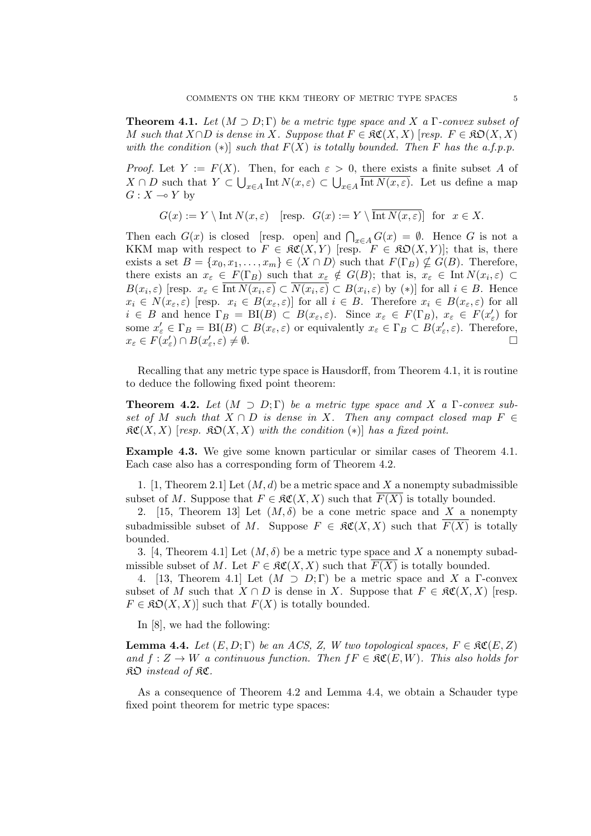**Theorem 4.1.** Let  $(M \supset D; \Gamma)$  be a metric type space and X a  $\Gamma$ -convex subset of *M* such that  $X \cap D$  is dense in X. Suppose that  $F \in \mathfrak{RC}(X,X)$  [*resp.*  $F \in \mathfrak{RD}(X,X)$ ] *with the condition*  $(*)$  *such that*  $F(X)$  *is totally bounded. Then F has the a.f.p.p.* 

*Proof.* Let  $Y := F(X)$ . Then, for each  $\varepsilon > 0$ , there exists a finite subset A of *X* ∩ *D* such that *Y* ⊂ ∪<sub>*x*∈*A*</sub> Int *N*(*x, ε*) ⊂ ∪<sub>*x*∈*A*</sub> Int *N*(*x, ε*). Let us define a map *G* :  $X$  ⊸  $Y$  by

$$
G(x) := Y \setminus \text{Int } N(x, \varepsilon) \quad [\text{resp.} \ \ G(x) := Y \setminus \overline{\text{Int } N(x, \varepsilon)}] \text{ for } x \in X.
$$

Then each  $G(x)$  is closed [resp. open] and  $\bigcap_{x \in A} G(x) = \emptyset$ . Hence *G* is not a KKM map with respect to  $F \in \mathfrak{RC}(X,Y)$  [resp.  $F \in \mathfrak{RO}(X,Y)$ ]; that is, there exists a set  $B = \{x_0, x_1, \ldots, x_m\} \in \langle X \cap D \rangle$  such that  $F(\Gamma_B) \nsubseteq G(B)$ . Therefore, there exists an  $x_{\varepsilon} \in F(\Gamma_B)$  such that  $x_{\varepsilon} \notin G(B)$ ; that is,  $x_{\varepsilon} \in \text{Int } N(x_i, \varepsilon) \subset$  $B(x_i, \varepsilon)$  [resp.  $x_{\varepsilon} \in \text{Int } N(x_i, \varepsilon) \subset N(x_i, \varepsilon) \subset B(x_i, \varepsilon)$  by  $(*)$ ] for all  $i \in B$ . Hence  $x_i \in N(x_{\varepsilon}, \varepsilon)$  [resp.  $x_i \in B(x_{\varepsilon}, \varepsilon)$ ] for all  $i \in B$ . Therefore  $x_i \in B(x_{\varepsilon}, \varepsilon)$  for all  $i \in B$  and hence  $\Gamma_B = \text{BI}(B) \subset B(x_\varepsilon, \varepsilon)$ . Since  $x_\varepsilon \in F(\Gamma_B)$ ,  $x_\varepsilon \in F(x'_\varepsilon)$  for some  $x'_{\varepsilon} \in \Gamma_B = \text{BI}(B) \subset B(x_{\varepsilon}, \varepsilon)$  or equivalently  $x_{\varepsilon} \in \Gamma_B \subset B(x'_{\varepsilon}, \varepsilon)$ . Therefore,  $x_{\varepsilon} \in F(x'_{\varepsilon}) \cap B(x'_{\varepsilon}, \varepsilon) \neq \emptyset.$ 

Recalling that any metric type space is Hausdorff, from Theorem 4.1, it is routine to deduce the following fixed point theorem:

**Theorem 4.2.** Let  $(M \supset D; \Gamma)$  be a metric type space and X a  $\Gamma$ -convex sub*set of M such that*  $X \cap D$  *is dense in*  $X$ *. Then any compact closed map*  $F \in$  $R\mathfrak{C}(X,X)$  [*resp.*  $R\mathfrak{O}(X,X)$  *with the condition*  $(*)$ ] *has a fixed point.* 

**Example 4.3.** We give some known particular or similar cases of Theorem 4.1. Each case also has a corresponding form of Theorem 4.2.

1. [1, Theorem 2.1] Let (*M, d*) be a metric space and *X* a nonempty subadmissible subset of *M*. Suppose that  $F \in \mathcal{RC}(X,X)$  such that  $F(X)$  is totally bounded.

2. [15, Theorem 13] Let  $(M, \delta)$  be a cone metric space and X a nonempty subadmissible subset of *M*. Suppose  $F \in \mathcal{RC}(X,X)$  such that  $\overline{F(X)}$  is totally bounded.

3. [4, Theorem 4.1] Let  $(M, \delta)$  be a metric type space and X a nonempty subadmissible subset of *M*. Let  $F \in \mathfrak{RC}(X,X)$  such that  $F(X)$  is totally bounded.

4. [13, Theorem 4.1] Let  $(M \supset D; \Gamma)$  be a metric space and X a  $\Gamma$ -convex subset of *M* such that  $X \cap D$  is dense in *X*. Suppose that  $F \in \mathfrak{RC}(X,X)$  [resp.  $F \in \mathfrak{RO}(X,X)$  such that  $F(X)$  is totally bounded.

In [8], we had the following:

**Lemma 4.4.** *Let*  $(E, D; \Gamma)$  *be an ACS, Z, W two topological spaces,*  $F \in \mathcal{RC}(E, Z)$  $and f: Z \to W$  *a continuous function. Then*  $fF \in \mathfrak{RC}(E, W)$ *. This also holds for* KO *instead of* KC*.*

As a consequence of Theorem 4.2 and Lemma 4.4, we obtain a Schauder type fixed point theorem for metric type spaces: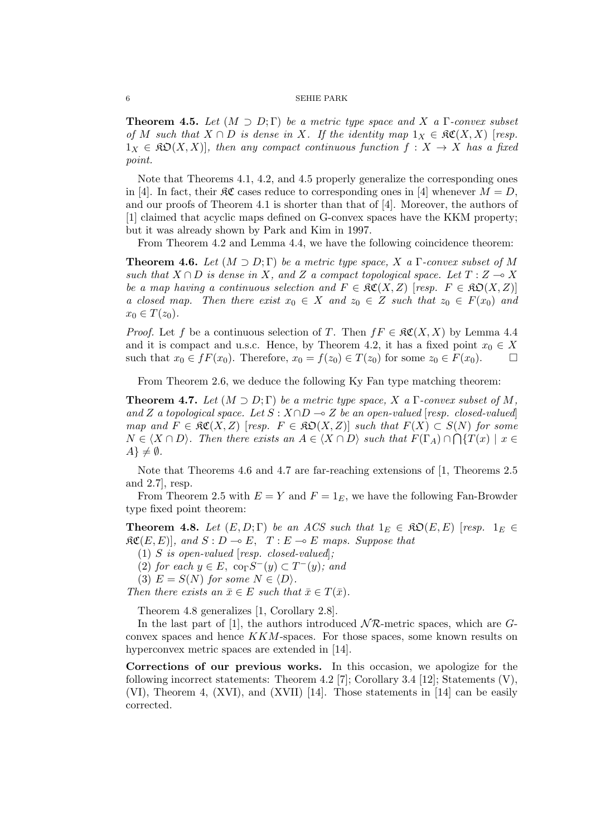#### 6 SEHIE PARK

**Theorem 4.5.** *Let*  $(M \supset D; \Gamma)$  *be a metric type space and*  $X$  *a*  $\Gamma$ *-convex subset*  $of$  *M* such that  $X \cap D$  is dense in X. If the identity map  $1_X \in \mathfrak{RC}(X,X)$  [resp.  $1_X \in \mathfrak{RO}(X,X)$ , then any compact continuous function  $f: X \to X$  has a fixed *point.*

Note that Theorems 4.1, 4.2, and 4.5 properly generalize the corresponding ones in [4]. In fact, their  $\Re \mathfrak{C}$  cases reduce to corresponding ones in [4] whenever  $M = D$ , and our proofs of Theorem 4.1 is shorter than that of [4]. Moreover, the authors of [1] claimed that acyclic maps defined on G-convex spaces have the KKM property; but it was already shown by Park and Kim in 1997.

From Theorem 4.2 and Lemma 4.4, we have the following coincidence theorem:

**Theorem 4.6.** Let  $(M \supset D; \Gamma)$  be a metric type space, X a  $\Gamma$ -convex subset of M *such that*  $X \cap D$  *is dense in*  $X$ *, and*  $Z$  *a compact topological space. Let*  $T : Z \to X$ *be a map having a continuous selection and*  $F \in \mathfrak{RC}(X, Z)$  [*resp.*  $F \in \mathfrak{RD}(X, Z)$ ] *a* closed map. Then there exist  $x_0 \in X$  and  $z_0 \in Z$  such that  $z_0 \in F(x_0)$  and  $x_0 \in T(z_0)$ .

*Proof.* Let *f* be a continuous selection of *T*. Then  $fF \in \mathfrak{RC}(X,X)$  by Lemma 4.4 and it is compact and u.s.c. Hence, by Theorem 4.2, it has a fixed point  $x_0 \in X$ such that  $x_0 \in fF(x_0)$ . Therefore,  $x_0 = f(z_0) \in T(z_0)$  for some  $z_0 \in F(x_0)$ . □

From Theorem 2.6, we deduce the following Ky Fan type matching theorem:

**Theorem 4.7.** Let  $(M \supset D; \Gamma)$  be a metric type space, X a  $\Gamma$ -convex subset of M, *and Z a topological space. Let*  $S : X \cap D \to Z$  *be an open-valued* [*resp. closed-valued*] *map and*  $F \in \mathfrak{RC}(X,Z)$  [*resp.*  $F \in \mathfrak{RD}(X,Z)$ ] *such that*  $F(X) \subset S(N)$  for some  $N \in \langle X \cap D \rangle$ . Then there exists an  $A \in \langle X \cap D \rangle$  such that  $F(\Gamma_A) \cap \bigcap \{T(x) \mid x \in$  $A\} \neq \emptyset$ *.* 

Note that Theorems 4.6 and 4.7 are far-reaching extensions of [1, Theorems 2.5 and 2.7], resp.

From Theorem 2.5 with  $E = Y$  and  $F = 1<sub>F</sub>$ , we have the following Fan-Browder type fixed point theorem:

**Theorem 4.8.** *Let*  $(E, D; \Gamma)$  *be an ACS such that*  $1_E \in \mathfrak{RO}(E, E)$  [*resp.*  $1_E \in \mathfrak{RO}(E, E)$ ]  $\mathfrak{RC}(E, E)$ , and  $S: D \to E$ ,  $T: E \to E$  maps. Suppose that

(1) *S is open-valued* [*resp. closed-valued*]*;*

 $(2)$  *for each*  $y \in E$ ,  $\text{co}_{\Gamma}S^{-}(y) \subset T^{-}(y)$ *; and* 

(3)  $E = S(N)$  *for some*  $N \in \langle D \rangle$ *.* 

*Then there exists an*  $\bar{x} \in E$  *such that*  $\bar{x} \in T(\bar{x})$ *.* 

Theorem 4.8 generalizes [1, Corollary 2.8].

In the last part of [1], the authors introduced *N R*-metric spaces, which are *G*convex spaces and hence *KKM*-spaces. For those spaces, some known results on hyperconvex metric spaces are extended in [14].

**Corrections of our previous works.** In this occasion, we apologize for the following incorrect statements: Theorem 4.2 [7]; Corollary 3.4 [12]; Statements  $(V)$ , (VI), Theorem 4, (XVI), and (XVII) [14]. Those statements in [14] can be easily corrected.